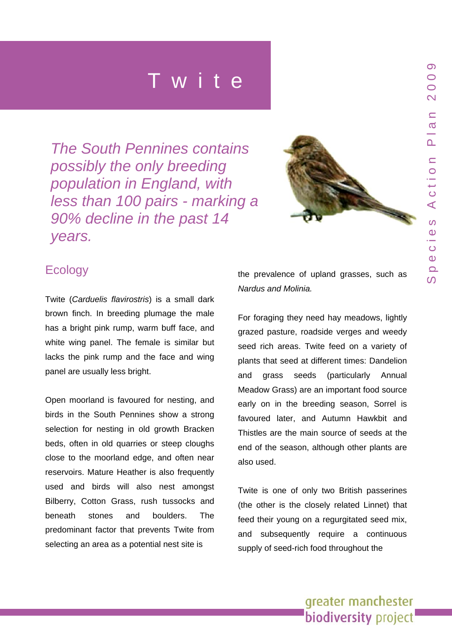*The South Pennines contains possibly the only breeding population in England, with less than 100 pairs - marking a 90% decline in the past 14 years.* 



## **Ecology**

Twite (*Carduelis flavirostris*) is a small dark brown finch. In breeding plumage the male has a bright pink rump, warm buff face, and white wing panel. The female is similar but lacks the pink rump and the face and wing panel are usually less bright.

Open moorland is favoured for nesting, and birds in the South Pennines show a strong selection for nesting in old growth Bracken beds, often in old quarries or steep cloughs close to the moorland edge, and often near reservoirs. Mature Heather is also frequently used and birds will also nest amongst Bilberry, Cotton Grass, rush tussocks and beneath stones and boulders. The predominant factor that prevents Twite from selecting an area as a potential nest site is

the prevalence of upland grasses, such as *Nardus and Molinia.* 

For foraging they need hay meadows, lightly grazed pasture, roadside verges and weedy seed rich areas. Twite feed on a variety of plants that seed at different times: Dandelion and grass seeds (particularly Annual Meadow Grass) are an important food source early on in the breeding season, Sorrel is favoured later, and Autumn Hawkbit and Thistles are the main source of seeds at the end of the season, although other plants are also used.

Twite is one of only two British passerines (the other is the closely related Linnet) that feed their young on a regurgitated seed mix, and subsequently require a continuous supply of seed-rich food throughout the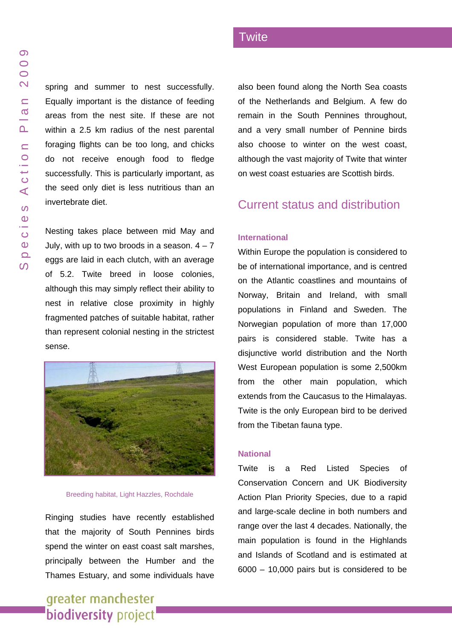spring and summer to nest successfully. Equally important is the distance of feeding areas from the nest site. If these are not within a 2.5 km radius of the nest parental foraging flights can be too long, and chicks do not receive enough food to fledge successfully. This is particularly important, as the seed only diet is less nutritious than an invertebrate diet.

Nesting takes place between mid May and July, with up to two broods in a season.  $4 - 7$ eggs are laid in each clutch, with an average of 5.2. Twite breed in loose colonies, although this may simply reflect their ability to nest in relative close proximity in highly fragmented patches of suitable habitat, rather than represent colonial nesting in the strictest sense.



#### Breeding habitat, Light Hazzles, Rochdale

Ringing studies have recently established that the majority of South Pennines birds spend the winter on east coast salt marshes, principally between the Humber and the Thames Estuary, and some individuals have

# greater manchester **biodiversity** project

also been found along the North Sea coasts of the Netherlands and Belgium. A few do remain in the South Pennines throughout, and a very small number of Pennine birds also choose to winter on the west coast, although the vast majority of Twite that winter on west coast estuaries are Scottish birds.

### Current status and distribution

#### **International**

**Twite** 

Within Europe the population is considered to be of international importance, and is centred on the Atlantic coastlines and mountains of Norway, Britain and Ireland, with small populations in Finland and Sweden. The Norwegian population of more than 17,000 pairs is considered stable. Twite has a disjunctive world distribution and the North West European population is some 2,500km from the other main population, which extends from the Caucasus to the Himalayas. Twite is the only European bird to be derived from the Tibetan fauna type.

#### **National**

Twite is a Red Listed Species of Conservation Concern and UK Biodiversity Action Plan Priority Species, due to a rapid and large-scale decline in both numbers and range over the last 4 decades. Nationally, the main population is found in the Highlands and Islands of Scotland and is estimated at 6000 – 10,000 pairs but is considered to be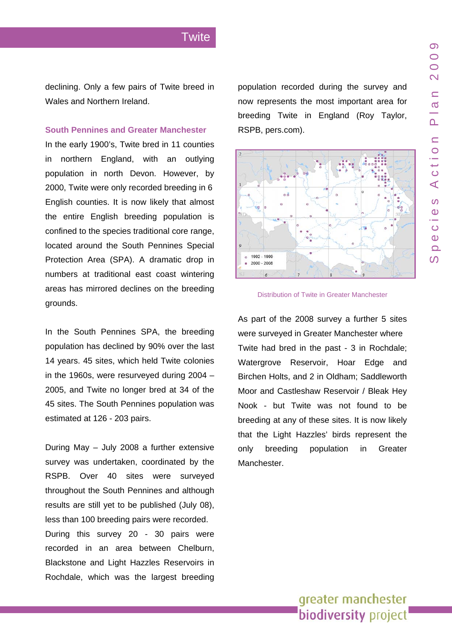declining. Only a few pairs of Twite breed in Wales and Northern Ireland.

#### **South Pennines and Greater Manchester**

In the early 1900's, Twite bred in 11 counties in northern England, with an outlying population in north Devon. However, by 2000, Twite were only recorded breeding in 6 English counties. It is now likely that almost the entire English breeding population is confined to the species traditional core range, located around the South Pennines Special Protection Area (SPA). A dramatic drop in numbers at traditional east coast wintering areas has mirrored declines on the breeding grounds.

In the South Pennines SPA, the breeding population has declined by 90% over the last 14 years. 45 sites, which held Twite colonies in the 1960s, were resurveyed during 2004 – 2005, and Twite no longer bred at 34 of the 45 sites. The South Pennines population was estimated at 126 - 203 pairs.

During May – July 2008 a further extensive survey was undertaken, coordinated by the RSPB. Over 40 sites were surveyed throughout the South Pennines and although results are still yet to be published (July 08), less than 100 breeding pairs were recorded. During this survey 20 - 30 pairs were recorded in an area between Chelburn, Blackstone and Light Hazzles Reservoirs in Rochdale, which was the largest breeding population recorded during the survey and now represents the most important area for breeding Twite in England (Roy Taylor, RSPB, pers.com).



Distribution of Twite in Greater Manchester

As part of the 2008 survey a further 5 sites were surveyed in Greater Manchester where Twite had bred in the past - 3 in Rochdale; Watergrove Reservoir, Hoar Edge and Birchen Holts, and 2 in Oldham; Saddleworth Moor and Castleshaw Reservoir / Bleak Hey Nook - but Twite was not found to be breeding at any of these sites. It is now likely that the Light Hazzles' birds represent the only breeding population in Greater Manchester.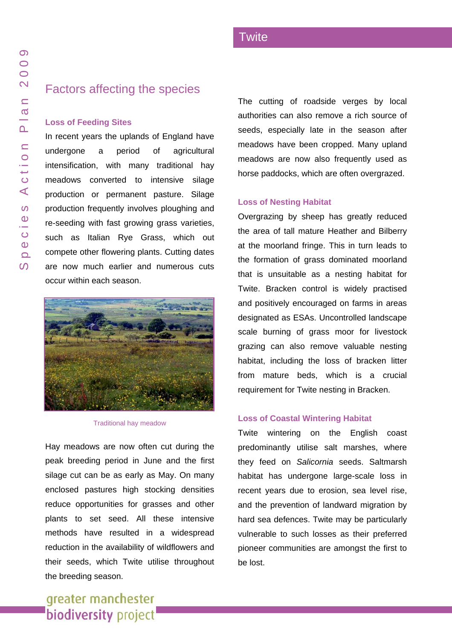## Factors affecting the species

#### **Loss of Feeding Sites**

In recent years the uplands of England have undergone a period of agricultural intensification, with many traditional hay meadows converted to intensive silage production or permanent pasture. Silage production frequently involves ploughing and re-seeding with fast growing grass varieties, such as Italian Rye Grass, which out compete other flowering plants. Cutting dates are now much earlier and numerous cuts occur within each season.



Traditional hay meadow

Hay meadows are now often cut during the peak breeding period in June and the first silage cut can be as early as May. On many enclosed pastures high stocking densities reduce opportunities for grasses and other plants to set seed. All these intensive methods have resulted in a widespread reduction in the availability of wildflowers and their seeds, which Twite utilise throughout the breeding season.

The cutting of roadside verges by local authorities can also remove a rich source of seeds, especially late in the season after meadows have been cropped. Many upland meadows are now also frequently used as horse paddocks, which are often overgrazed.

#### **Loss of Nesting Habitat**

Overgrazing by sheep has greatly reduced the area of tall mature Heather and Bilberry at the moorland fringe. This in turn leads to the formation of grass dominated moorland that is unsuitable as a nesting habitat for Twite. Bracken control is widely practised and positively encouraged on farms in areas designated as ESAs. Uncontrolled landscape scale burning of grass moor for livestock grazing can also remove valuable nesting habitat, including the loss of bracken litter from mature beds, which is a crucial requirement for Twite nesting in Bracken.

#### **Loss of Coastal Wintering Habitat**

Twite wintering on the English coast predominantly utilise salt marshes, where they feed on *Salicornia* seeds. Saltmarsh habitat has undergone large-scale loss in recent years due to erosion, sea level rise, and the prevention of landward migration by hard sea defences. Twite may be particularly vulnerable to such losses as their preferred pioneer communities are amongst the first to be lost.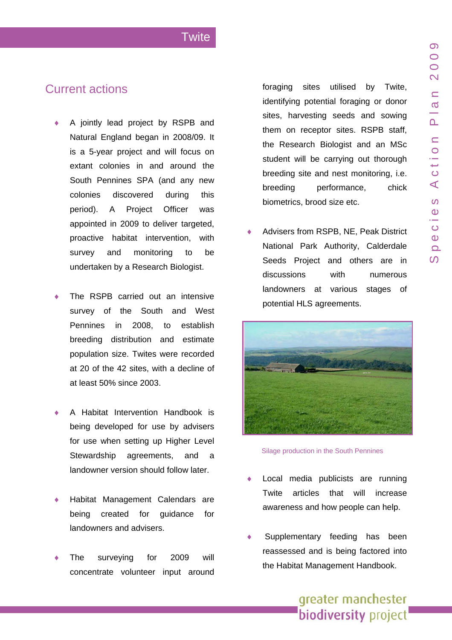$\Omega$ 

### **Twite**

## Current actions

- ♦ A jointly lead project by RSPB and Natural England began in 2008/09. It is a 5-year project and will focus on extant colonies in and around the South Pennines SPA (and any new colonies discovered during this period). A Project Officer was appointed in 2009 to deliver targeted, proactive habitat intervention, with survey and monitoring to be undertaken by a Research Biologist.
- The RSPB carried out an intensive survey of the South and West Pennines in 2008, to establish breeding distribution and estimate population size. Twites were recorded at 20 of the 42 sites, with a decline of at least 50% since 2003.
- ♦ A Habitat Intervention Handbook is being developed for use by advisers for use when setting up Higher Level Stewardship agreements, and a landowner version should follow later.
- Habitat Management Calendars are being created for guidance for landowners and advisers.
- The surveying for 2009 will concentrate volunteer input around

foraging sites utilised by Twite, identifying potential foraging or donor sites, harvesting seeds and sowing them on receptor sites. RSPB staff, the Research Biologist and an MSc student will be carrying out thorough breeding site and nest monitoring, i.e. breeding performance, chick biometrics, brood size etc.

Advisers from RSPB, NE, Peak District National Park Authority, Calderdale Seeds Project and others are in discussions with numerous landowners at various stages of potential HLS agreements.



Silage production in the South Pennines

- Local media publicists are running Twite articles that will increase awareness and how people can help.
- Supplementary feeding has been reassessed and is being factored into the Habitat Management Handbook.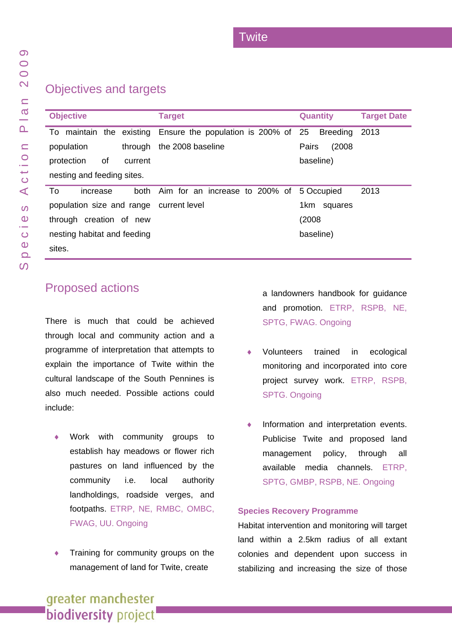## Objectives and targets

| <b>Objective</b>                        | <b>Target</b>                                                | <b>Quantity</b> | <b>Target Date</b> |
|-----------------------------------------|--------------------------------------------------------------|-----------------|--------------------|
|                                         | To maintain the existing Ensure the population is 200% of 25 | <b>Breeding</b> | 2013               |
| population<br>through                   | the 2008 baseline                                            | (2008)<br>Pairs |                    |
| protection<br>οf<br>current             |                                                              | baseline)       |                    |
| nesting and feeding sites.              |                                                              |                 |                    |
| To<br>increase                          | both Aim for an increase to 200% of                          | 5 Occupied      | 2013               |
| population size and range current level |                                                              | 1km<br>squares  |                    |
| through creation of new                 |                                                              | (2008)          |                    |
| nesting habitat and feeding             |                                                              | baseline)       |                    |
| sites.                                  |                                                              |                 |                    |

# Proposed actions

There is much that could be achieved through local and community action and a programme of interpretation that attempts to explain the importance of Twite within the cultural landscape of the South Pennines is also much needed. Possible actions could include:

- Work with community groups to establish hay meadows or flower rich pastures on land influenced by the community i.e. local authority landholdings, roadside verges, and footpaths. ETRP, NE, RMBC, OMBC, FWAG, UU. Ongoing
- Training for community groups on the management of land for Twite, create

a landowners handbook for guidance and promotion. ETRP, RSPB, NE, SPTG, FWAG. Ongoing

- Volunteers trained in ecological monitoring and incorporated into core project survey work. ETRP, RSPB, SPTG. Ongoing
- Information and interpretation events. Publicise Twite and proposed land management policy, through all available media channels. ETRP, SPTG, GMBP, RSPB, NE. Ongoing

#### **Species Recovery Programme**

Habitat intervention and monitoring will target land within a 2.5km radius of all extant colonies and dependent upon success in stabilizing and increasing the size of those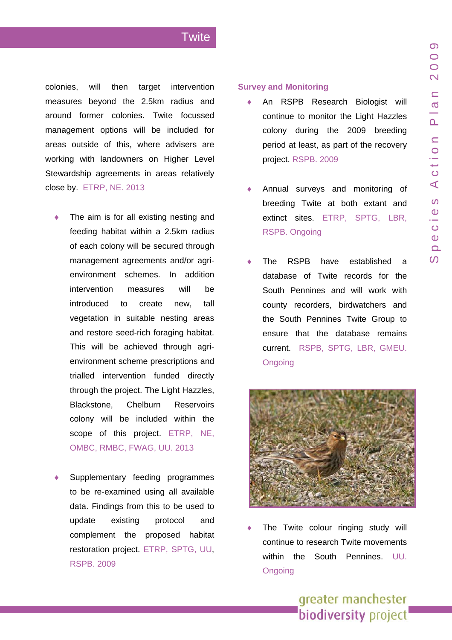$\Omega$ 

### **Twite**

colonies, will then target intervention measures beyond the 2.5km radius and around former colonies. Twite focussed management options will be included for areas outside of this, where advisers are working with landowners on Higher Level Stewardship agreements in areas relatively close by. ETRP, NE. 2013

- The aim is for all existing nesting and feeding habitat within a 2.5km radius of each colony will be secured through management agreements and/or agrienvironment schemes. In addition intervention measures will be introduced to create new, tall vegetation in suitable nesting areas and restore seed-rich foraging habitat. This will be achieved through agrienvironment scheme prescriptions and trialled intervention funded directly through the project. The Light Hazzles, Blackstone, Chelburn Reservoirs colony will be included within the scope of this project. ETRP, NE, OMBC, RMBC, FWAG, UU. 2013
- Supplementary feeding programmes to be re-examined using all available data. Findings from this to be used to update existing protocol and complement the proposed habitat restoration project. ETRP, SPTG, UU, RSPB. 2009

#### **Survey and Monitoring**

- An RSPB Research Biologist will continue to monitor the Light Hazzles colony during the 2009 breeding period at least, as part of the recovery project. RSPB. 2009
- Annual surveys and monitoring of breeding Twite at both extant and extinct sites. ETRP, SPTG, LBR, RSPB. Ongoing
- The RSPB have established a database of Twite records for the South Pennines and will work with county recorders, birdwatchers and the South Pennines Twite Group to ensure that the database remains current. RSPB, SPTG, LBR, GMEU. **Ongoing**



The Twite colour ringing study will continue to research Twite movements within the South Pennines. UU. **Ongoing**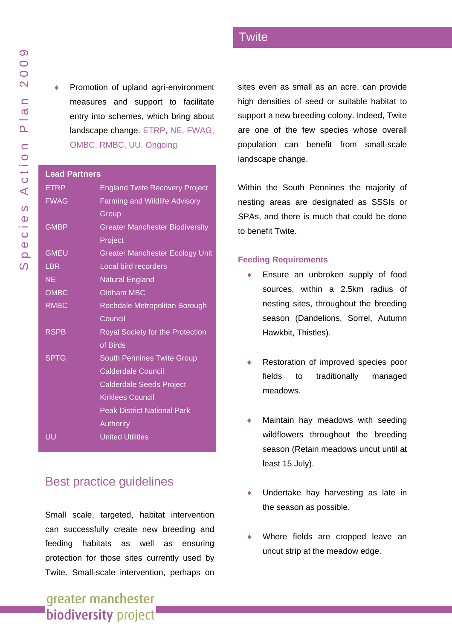Promotion of upland agri-environment measures and support to facilitate entry into schemes, which bring about landscape change. ETRP, NE, FWAG, OMBC, RMBC, UU. Ongoing

#### **Lead Partners**

| Leau Faruiers |                                         |  |
|---------------|-----------------------------------------|--|
| <b>ETRP</b>   | <b>England Twite Recovery Project</b>   |  |
| <b>FWAG</b>   | <b>Farming and Wildlife Advisory</b>    |  |
|               | Group                                   |  |
| <b>GMBP</b>   | <b>Greater Manchester Biodiversity</b>  |  |
|               | Project                                 |  |
| <b>GMEU</b>   | <b>Greater Manchester Ecology Unit</b>  |  |
| <b>LBR</b>    | Local bird recorders                    |  |
| <b>NE</b>     | <b>Natural England</b>                  |  |
| <b>OMBC</b>   | <b>Oldham MBC</b>                       |  |
| <b>RMBC</b>   | Rochdale Metropolitan Borough           |  |
|               | Council                                 |  |
| <b>RSPB</b>   | <b>Royal Society for the Protection</b> |  |
|               | of Birds                                |  |
| <b>SPTG</b>   | <b>South Pennines Twite Group</b>       |  |
|               | <b>Calderdale Council</b>               |  |
|               | <b>Calderdale Seeds Project</b>         |  |
|               | <b>Kirklees Council</b>                 |  |
|               | <b>Peak District National Park</b>      |  |
|               | Authority                               |  |
| UU            | <b>United Utilities</b>                 |  |
|               |                                         |  |

## Best practice guidelines

Small scale, targeted, habitat intervention can successfully create new breeding and feeding habitats as well as ensuring protection for those sites currently used by Twite. Small-scale intervention, perhaps on

# greater manchester **biodiversity** project

**Twite** 

sites even as small as an acre, can provide high densities of seed or suitable habitat to support a new breeding colony. Indeed, Twite are one of the few species whose overall population can benefit from small-scale landscape change.

Within the South Pennines the majority of nesting areas are designated as SSSIs or SPAs, and there is much that could be done to benefit Twite.

#### **Feeding Requirements**

- Ensure an unbroken supply of food sources, within a 2.5km radius of nesting sites, throughout the breeding season (Dandelions, Sorrel, Autumn Hawkbit, Thistles).
- Restoration of improved species poor fields to traditionally managed meadows.
- Maintain hay meadows with seeding wildflowers throughout the breeding season (Retain meadows uncut until at least 15 July).
- ♦ Undertake hay harvesting as late in the season as possible.
- Where fields are cropped leave an uncut strip at the meadow edge.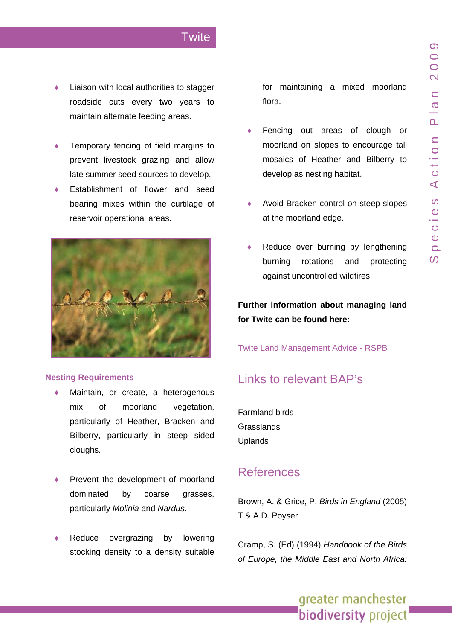- Liaison with local authorities to stagger roadside cuts every two years to maintain alternate feeding areas.
- Temporary fencing of field margins to prevent livestock grazing and allow late summer seed sources to develop.
- Establishment of flower and seed bearing mixes within the curtilage of reservoir operational areas.



#### **Nesting Requirements**

- Maintain, or create, a heterogenous mix of moorland vegetation, particularly of Heather, Bracken and Bilberry, particularly in steep sided cloughs.
- Prevent the development of moorland dominated by coarse grasses, particularly *Molinia* and *Nardus*.
- Reduce overgrazing by lowering stocking density to a density suitable

for maintaining a mixed moorland flora.

- ♦ moorland on slopes to encourage tall mosaics of Heather and Bilberry to Fencing out areas of clough or develop as nesting habitat.
- Avoid Bracken control on steep slopes ♦ at the moorland edge.
- Reduce over burning by lengthening burning rotations and protecting against uncontrolled wildfires.

**Further information about managing land for Twite can be found here:** 

Twite Land Management Advice - RSPB

## Links to relevant BAP's

Farmland birds Grasslands Uplands

## References

Brown, A. & Grice, P. *Birds in England* (2005) T & A.D. Poyser

of Europe, the Middle East and North Africa: Cramp, S. (Ed) (1994) *Handbook of the Birds*